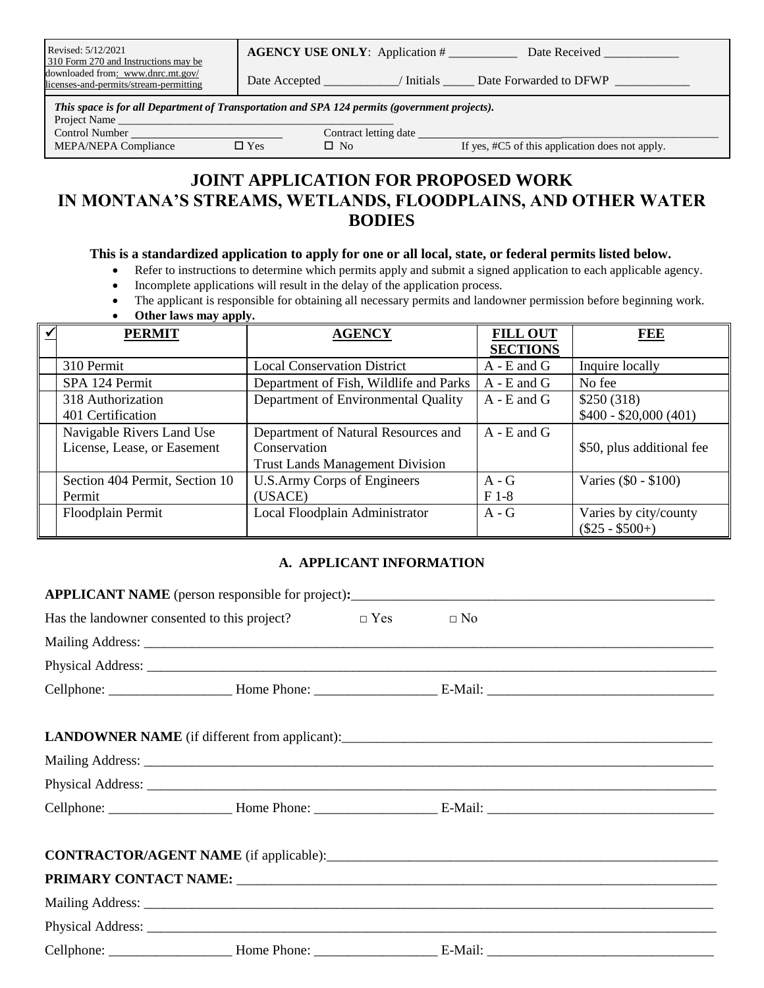| Revised: 5/12/2021<br>310 Form 270 and Instructions may be                  | <b>AGENCY USE ONLY:</b> Application # | Date Received          |
|-----------------------------------------------------------------------------|---------------------------------------|------------------------|
| downloaded from: www.dnrc.mt.gov/<br>licenses-and-permits/stream-permitting | Initials<br>Date Accepted             | Date Forwarded to DFWP |

*This space is for all Department of Transportation and SPA 124 permits (government projects).*

Project Name

Control Number Contract letting date \_<br>MEPA/NEPA Compliance  $\Box$  Yes  $\Box$  No

 $\Box$  No If yes, #C5 of this application does not apply.

# **JOINT APPLICATION FOR PROPOSED WORK IN MONTANA'S STREAMS, WETLANDS, FLOODPLAINS, AND OTHER WATER BODIES**

#### **This is a standardized application to apply for one or all local, state, or federal permits listed below.**

- Refer to instructions to determine which permits apply and submit a signed application to each applicable agency.
- Incomplete applications will result in the delay of the application process.
- The applicant is responsible for obtaining all necessary permits and landowner permission before beginning work.
- **Other laws may apply.**

| <b>PERMIT</b>                  | <b>AGENCY</b>                          | <b>FILL OUT</b><br><b>SECTIONS</b> | <b>FEE</b>                                 |
|--------------------------------|----------------------------------------|------------------------------------|--------------------------------------------|
| 310 Permit                     | <b>Local Conservation District</b>     | $A - E$ and $G$                    | Inquire locally                            |
| SPA 124 Permit                 | Department of Fish, Wildlife and Parks | $A - E$ and $G$                    | No fee                                     |
| 318 Authorization              | Department of Environmental Quality    | $A - E$ and $G$                    | \$250(318)                                 |
| 401 Certification              |                                        |                                    | $$400 - $20,000 (401)$                     |
| Navigable Rivers Land Use      | Department of Natural Resources and    | $A - E$ and $G$                    |                                            |
| License, Lease, or Easement    | Conservation                           |                                    | \$50, plus additional fee                  |
|                                | <b>Trust Lands Management Division</b> |                                    |                                            |
| Section 404 Permit, Section 10 | <b>U.S.Army Corps of Engineers</b>     | $A - G$                            | Varies (\$0 - \$100)                       |
| Permit                         | (USACE)                                | $F1-8$                             |                                            |
| Floodplain Permit              | Local Floodplain Administrator         | $A - G$                            | Varies by city/county<br>$(\$25 - \$500+)$ |

### **A. APPLICANT INFORMATION**

| APPLICANT NAME (person responsible for project):<br><u>Example 2001</u> |                                                                         |  |  |  |  |  |  |
|-------------------------------------------------------------------------|-------------------------------------------------------------------------|--|--|--|--|--|--|
|                                                                         | Has the landowner consented to this project? $\square$ Yes $\square$ No |  |  |  |  |  |  |
|                                                                         |                                                                         |  |  |  |  |  |  |
|                                                                         |                                                                         |  |  |  |  |  |  |
|                                                                         |                                                                         |  |  |  |  |  |  |
|                                                                         |                                                                         |  |  |  |  |  |  |
|                                                                         |                                                                         |  |  |  |  |  |  |
|                                                                         |                                                                         |  |  |  |  |  |  |
|                                                                         |                                                                         |  |  |  |  |  |  |
|                                                                         |                                                                         |  |  |  |  |  |  |
|                                                                         |                                                                         |  |  |  |  |  |  |
|                                                                         |                                                                         |  |  |  |  |  |  |
|                                                                         |                                                                         |  |  |  |  |  |  |
|                                                                         |                                                                         |  |  |  |  |  |  |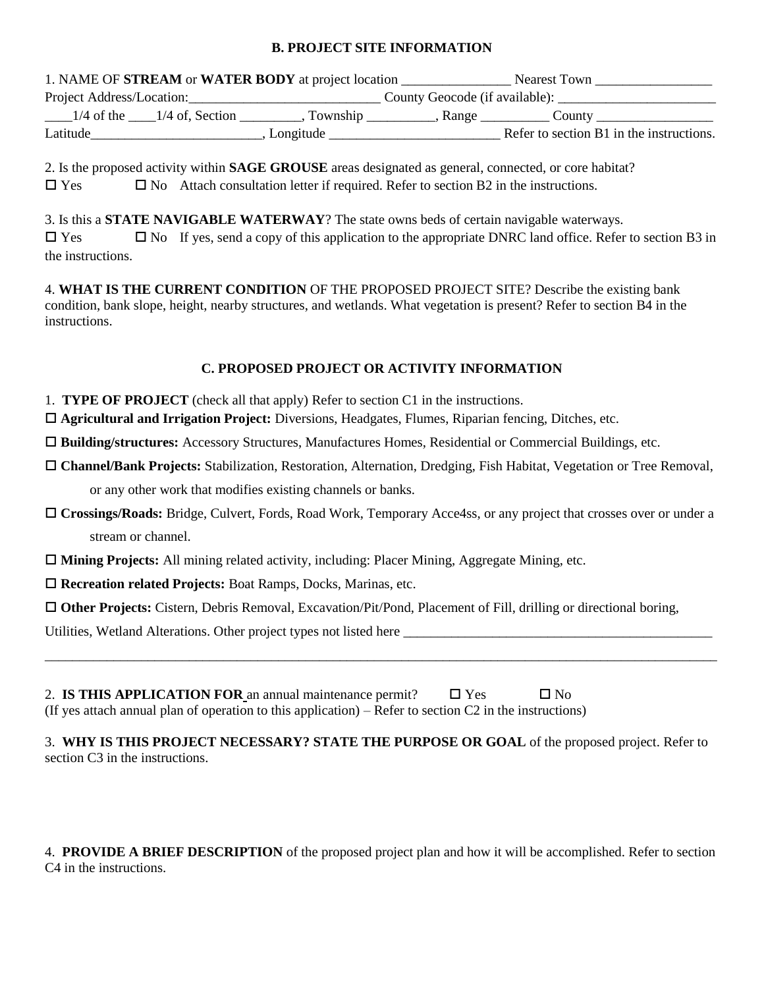#### **B. PROJECT SITE INFORMATION**

|                           |                                | 1. NAME OF STREAM or WATER BODY at project location |                                | Nearest Town                             |  |
|---------------------------|--------------------------------|-----------------------------------------------------|--------------------------------|------------------------------------------|--|
| Project Address/Location: |                                |                                                     | County Geocode (if available): |                                          |  |
|                           | $1/4$ of the $1/4$ of, Section | . Township _______                                  | Range                          | County                                   |  |
| Latitude                  |                                | Longitude                                           |                                | Refer to section B1 in the instructions. |  |

2. Is the proposed activity within **SAGE GROUSE** areas designated as general, connected, or core habitat?  $\Box$  Yes  $\Box$  No Attach consultation letter if required. Refer to section B2 in the instructions.

3. Is this a **STATE NAVIGABLE WATERWAY**? The state owns beds of certain navigable waterways.  $\Box$  Yes  $\Box$  No If yes, send a copy of this application to the appropriate DNRC land office. Refer to section B3 in the instructions.

4. **WHAT IS THE CURRENT CONDITION** OF THE PROPOSED PROJECT SITE? Describe the existing bank condition, bank slope, height, nearby structures, and wetlands. What vegetation is present? Refer to section B4 in the instructions.

#### **C. PROPOSED PROJECT OR ACTIVITY INFORMATION**

- 1. **TYPE OF PROJECT** (check all that apply) Refer to section C1 in the instructions.
- **Agricultural and Irrigation Project:** Diversions, Headgates, Flumes, Riparian fencing, Ditches, etc.

**Building/structures:** Accessory Structures, Manufactures Homes, Residential or Commercial Buildings, etc.

- **Channel/Bank Projects:** Stabilization, Restoration, Alternation, Dredging, Fish Habitat, Vegetation or Tree Removal, or any other work that modifies existing channels or banks.
- **Crossings/Roads:** Bridge, Culvert, Fords, Road Work, Temporary Acce4ss, or any project that crosses over or under a stream or channel.
- **Mining Projects:** All mining related activity, including: Placer Mining, Aggregate Mining, etc.
- **Recreation related Projects:** Boat Ramps, Docks, Marinas, etc.

**Other Projects:** Cistern, Debris Removal, Excavation/Pit/Pond, Placement of Fill, drilling or directional boring,

Utilities, Wetland Alterations. Other project types not listed here

| 2. IS THIS APPLICATION FOR an annual maintenance permit?                                                  |  | $\Box$ Yes | $\Box$ No |
|-----------------------------------------------------------------------------------------------------------|--|------------|-----------|
| (If yes attach annual plan of operation to this application) – Refer to section $C2$ in the instructions) |  |            |           |

| 3. WHY IS THIS PROJECT NECESSARY? STATE THE PURPOSE OR GOAL of the proposed project. Refer to |  |  |
|-----------------------------------------------------------------------------------------------|--|--|
| section C3 in the instructions.                                                               |  |  |

\_\_\_\_\_\_\_\_\_\_\_\_\_\_\_\_\_\_\_\_\_\_\_\_\_\_\_\_\_\_\_\_\_\_\_\_\_\_\_\_\_\_\_\_\_\_\_\_\_\_\_\_\_\_\_\_\_\_\_\_\_\_\_\_\_\_\_\_\_\_\_\_\_\_\_\_\_\_\_\_\_\_\_\_\_\_\_\_\_\_\_\_\_\_\_\_\_\_

4. **PROVIDE A BRIEF DESCRIPTION** of the proposed project plan and how it will be accomplished. Refer to section C4 in the instructions.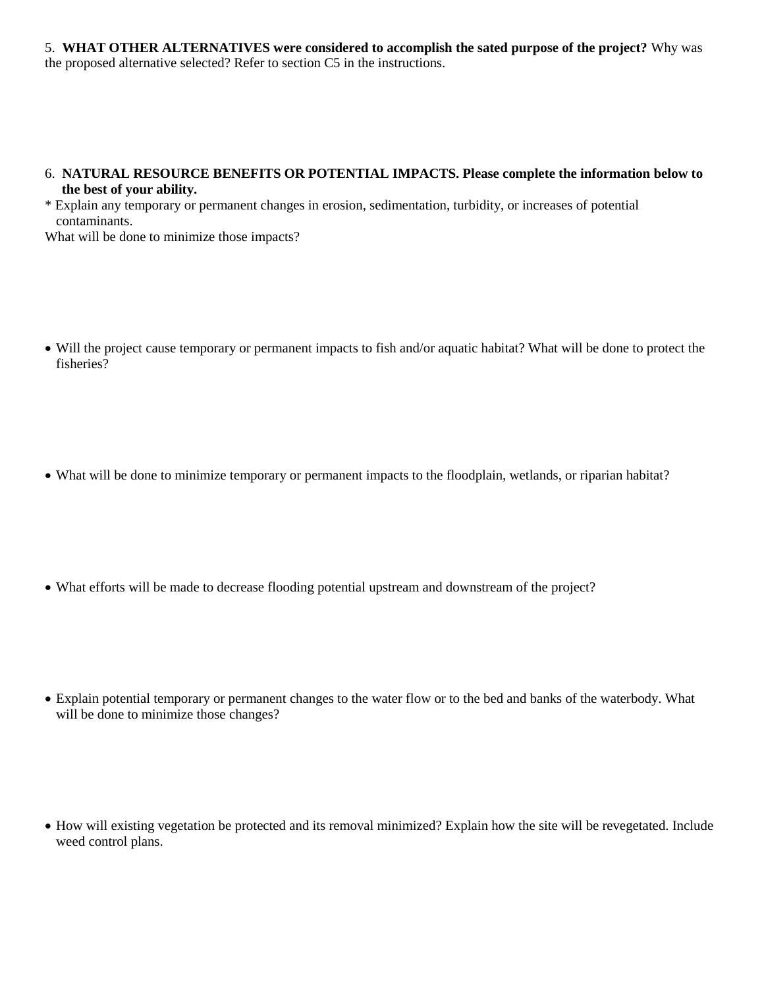5. **WHAT OTHER ALTERNATIVES were considered to accomplish the sated purpose of the project?** Why was the proposed alternative selected? Refer to section C5 in the instructions.

#### 6. **NATURAL RESOURCE BENEFITS OR POTENTIAL IMPACTS. Please complete the information below to the best of your ability.**

\* Explain any temporary or permanent changes in erosion, sedimentation, turbidity, or increases of potential contaminants.

What will be done to minimize those impacts?

- Will the project cause temporary or permanent impacts to fish and/or aquatic habitat? What will be done to protect the fisheries?
- What will be done to minimize temporary or permanent impacts to the floodplain, wetlands, or riparian habitat?
- What efforts will be made to decrease flooding potential upstream and downstream of the project?
- Explain potential temporary or permanent changes to the water flow or to the bed and banks of the waterbody. What will be done to minimize those changes?
- How will existing vegetation be protected and its removal minimized? Explain how the site will be revegetated. Include weed control plans.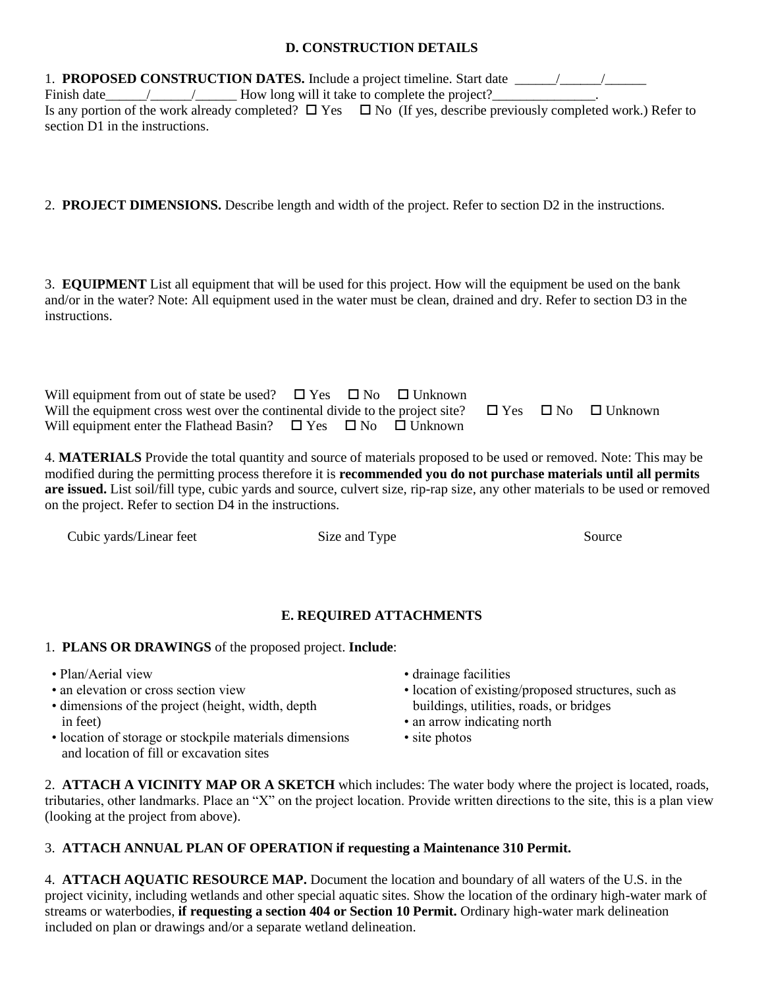#### **D. CONSTRUCTION DETAILS**

1. **PROPOSED CONSTRUCTION DATES.** Include a project timeline. Start date \_\_\_\_\_\_/\_\_\_\_\_\_/\_\_\_\_\_\_ Finish date The same  $\sim$  The How long will it take to complete the project? Is any portion of the work already completed?  $\Box$  Yes  $\Box$  No (If yes, describe previously completed work.) Refer to section D1 in the instructions.

2. **PROJECT DIMENSIONS.** Describe length and width of the project. Refer to section D2 in the instructions.

3. **EQUIPMENT** List all equipment that will be used for this project. How will the equipment be used on the bank and/or in the water? Note: All equipment used in the water must be clean, drained and dry. Refer to section D3 in the instructions.

| Will equipment from out of state be used? $\Box$ Yes $\Box$ No $\Box$ Unknown                                               |  |  |  |
|-----------------------------------------------------------------------------------------------------------------------------|--|--|--|
| Will the equipment cross west over the continental divide to the project site? $\square$ Yes $\square$ No $\square$ Unknown |  |  |  |
| Will equipment enter the Flathead Basin? $\Box$ Yes $\Box$ No $\Box$ Unknown                                                |  |  |  |

4. **MATERIALS** Provide the total quantity and source of materials proposed to be used or removed. Note: This may be modified during the permitting process therefore it is **recommended you do not purchase materials until all permits are issued.** List soil/fill type, cubic yards and source, culvert size, rip-rap size, any other materials to be used or removed on the project. Refer to section D4 in the instructions.

Cubic yards/Linear feet Size and Type Source Source

# **E. REQUIRED ATTACHMENTS**

# 1. **PLANS OR DRAWINGS** of the proposed project. **Include**:

- 
- 
- dimensions of the project (height, width, depth in feet) • an arrow indicating north
- location of storage or stockpile materials dimensions site photos and location of fill or excavation sites
- Plan/Aerial view drainage facilities
- an elevation or cross section view location of existing/proposed structures, such as dimensions of the project (height, width, depth buildings, utilities, roads, or bridges
	-
	-

2. **ATTACH A VICINITY MAP OR A SKETCH** which includes: The water body where the project is located, roads, tributaries, other landmarks. Place an "X" on the project location. Provide written directions to the site, this is a plan view (looking at the project from above).

# 3. **ATTACH ANNUAL PLAN OF OPERATION if requesting a Maintenance 310 Permit.**

4. **ATTACH AQUATIC RESOURCE MAP.** Document the location and boundary of all waters of the U.S. in the project vicinity, including wetlands and other special aquatic sites. Show the location of the ordinary high-water mark of streams or waterbodies, **if requesting a section 404 or Section 10 Permit.** Ordinary high-water mark delineation included on plan or drawings and/or a separate wetland delineation.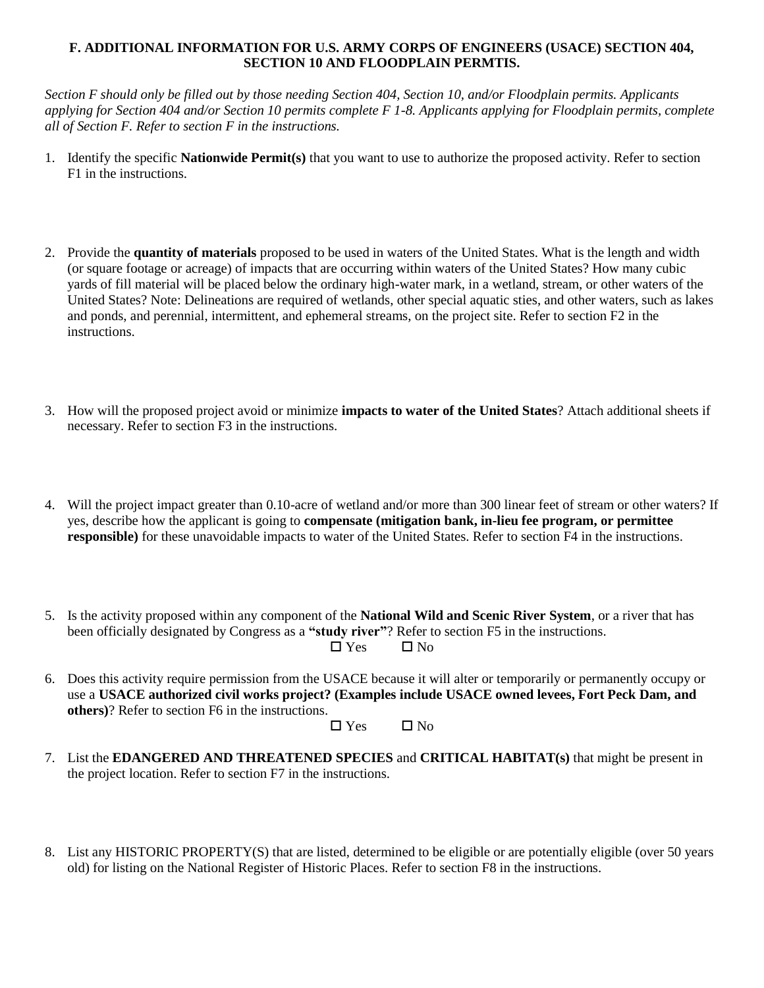#### **F. ADDITIONAL INFORMATION FOR U.S. ARMY CORPS OF ENGINEERS (USACE) SECTION 404, SECTION 10 AND FLOODPLAIN PERMTIS.**

*Section F should only be filled out by those needing Section 404, Section 10, and/or Floodplain permits. Applicants applying for Section 404 and/or Section 10 permits complete F 1-8. Applicants applying for Floodplain permits, complete all of Section F. Refer to section F in the instructions.*

- 1. Identify the specific **Nationwide Permit(s)** that you want to use to authorize the proposed activity. Refer to section F1 in the instructions.
- 2. Provide the **quantity of materials** proposed to be used in waters of the United States. What is the length and width (or square footage or acreage) of impacts that are occurring within waters of the United States? How many cubic yards of fill material will be placed below the ordinary high-water mark, in a wetland, stream, or other waters of the United States? Note: Delineations are required of wetlands, other special aquatic sties, and other waters, such as lakes and ponds, and perennial, intermittent, and ephemeral streams, on the project site. Refer to section F2 in the instructions.
- 3. How will the proposed project avoid or minimize **impacts to water of the United States**? Attach additional sheets if necessary. Refer to section F3 in the instructions.
- 4. Will the project impact greater than 0.10-acre of wetland and/or more than 300 linear feet of stream or other waters? If yes, describe how the applicant is going to **compensate (mitigation bank, in-lieu fee program, or permittee responsible)** for these unavoidable impacts to water of the United States. Refer to section F4 in the instructions.
- 5. Is the activity proposed within any component of the **National Wild and Scenic River System**, or a river that has been officially designated by Congress as a **"study river"**? Refer to section F5 in the instructions.  $\Box$  Yes  $\Box$  No
- 6. Does this activity require permission from the USACE because it will alter or temporarily or permanently occupy or use a **USACE authorized civil works project? (Examples include USACE owned levees, Fort Peck Dam, and others)**? Refer to section F6 in the instructions.

```
\Box Yes \Box No
```
- 7. List the **EDANGERED AND THREATENED SPECIES** and **CRITICAL HABITAT(s)** that might be present in the project location. Refer to section F7 in the instructions.
- 8. List any HISTORIC PROPERTY(S) that are listed, determined to be eligible or are potentially eligible (over 50 years old) for listing on the National Register of Historic Places. Refer to section F8 in the instructions.